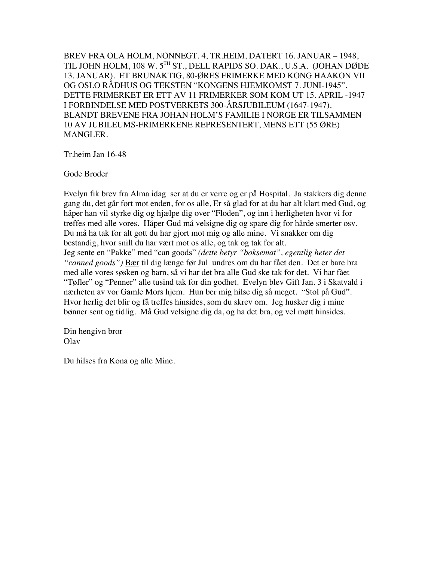BREV FRA OLA HOLM, NONNEGT. 4, TR.HEIM, DATERT 16. JANUAR – 1948, TIL JOHN HOLM, 108 W. 5TH ST., DELL RAPIDS SO. DAK., U.S.A. (JOHAN DØDE 13. JANUAR). ET BRUNAKTIG, 80-ØRES FRIMERKE MED KONG HAAKON VII OG OSLO RÅDHUS OG TEKSTEN "KONGENS HJEMKOMST 7. JUNI-1945". DETTE FRIMERKET ER ETT AV 11 FRIMERKER SOM KOM UT 15. APRIL -1947 I FORBINDELSE MED POSTVERKETS 300-ÅRSJUBILEUM (1647-1947). BLANDT BREVENE FRA JOHAN HOLM'S FAMILIE I NORGE ER TILSAMMEN 10 AV JUBILEUMS-FRIMERKENE REPRESENTERT, MENS ETT (55 ØRE) MANGLER.

Tr.heim Jan 16-48

Gode Broder

Evelyn fik brev fra Alma idag ser at du er verre og er på Hospital. Ja stakkers dig denne gang du, det går fort mot enden, for os alle, Er så glad for at du har alt klart med Gud, og håper han vil styrke dig og hjælpe dig over "Floden", og inn i herligheten hvor vi for treffes med alle vores. Håper Gud må velsigne dig og spare dig for hårde smerter osv. Du må ha tak for alt gott du har gjort mot mig og alle mine. Vi snakker om dig bestandig, hvor snill du har vært mot os alle, og tak og tak for alt. Jeg sente en "Pakke" med "can goods" *(dette betyr "boksemat", egentlig heter det "canned goods")* Bær til dig længe før Jul undres om du har fået den. Det er bare bra med alle vores søsken og barn, så vi har det bra alle Gud ske tak for det. Vi har fået "Tøfler" og "Penner" alle tusind tak for din godhet. Evelyn blev Gift Jan. 3 i Skatvald i nærheten av vor Gamle Mors hjem. Hun ber mig hilse dig så meget. "Stol på Gud". Hvor herlig det blir og få treffes hinsides, som du skrev om. Jeg husker dig i mine bønner sent og tidlig. Må Gud velsigne dig da, og ha det bra, og vel møtt hinsides.

Din hengivn bror Olav

Du hilses fra Kona og alle Mine.